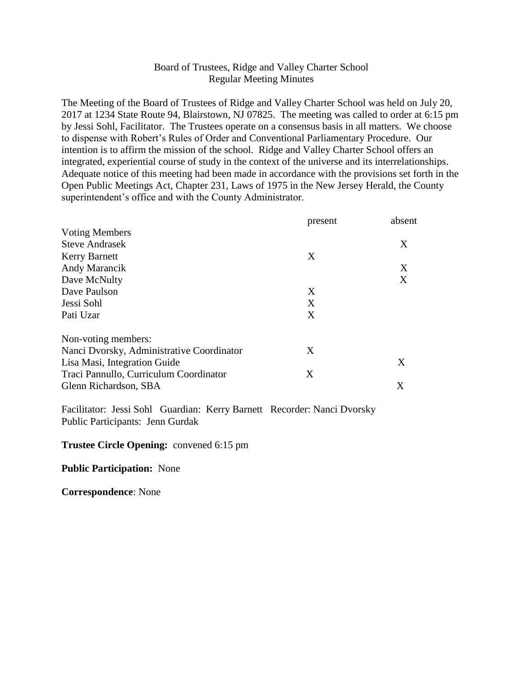# Board of Trustees, Ridge and Valley Charter School Regular Meeting Minutes

The Meeting of the Board of Trustees of Ridge and Valley Charter School was held on July 20, 2017 at 1234 State Route 94, Blairstown, NJ 07825. The meeting was called to order at 6:15 pm by Jessi Sohl, Facilitator. The Trustees operate on a consensus basis in all matters. We choose to dispense with Robert's Rules of Order and Conventional Parliamentary Procedure. Our intention is to affirm the mission of the school. Ridge and Valley Charter School offers an integrated, experiential course of study in the context of the universe and its interrelationships. Adequate notice of this meeting had been made in accordance with the provisions set forth in the Open Public Meetings Act, Chapter 231, Laws of 1975 in the New Jersey Herald, the County superintendent's office and with the County Administrator.

|                                           | present | absent |
|-------------------------------------------|---------|--------|
| <b>Voting Members</b>                     |         |        |
| <b>Steve Andrasek</b>                     |         | X      |
| <b>Kerry Barnett</b>                      | X       |        |
| Andy Marancik                             |         | X      |
| Dave McNulty                              |         | X      |
| Dave Paulson                              | X       |        |
| Jessi Sohl                                | X       |        |
| Pati Uzar                                 | X       |        |
| Non-voting members:                       |         |        |
| Nanci Dvorsky, Administrative Coordinator | X       |        |
| Lisa Masi, Integration Guide              |         | X      |
| Traci Pannullo, Curriculum Coordinator    | X       |        |
| Glenn Richardson, SBA                     |         | Χ      |

Facilitator: Jessi Sohl Guardian: Kerry Barnett Recorder: Nanci Dvorsky Public Participants: Jenn Gurdak

#### **Trustee Circle Opening:** convened 6:15 pm

#### **Public Participation:** None

**Correspondence**: None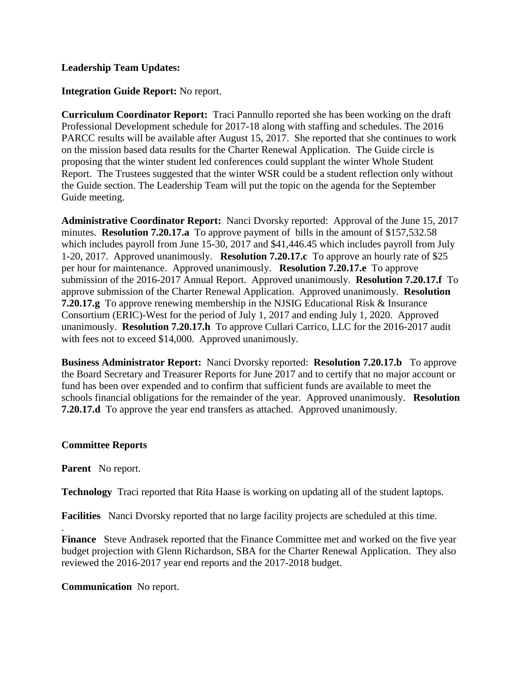## **Leadership Team Updates:**

## **Integration Guide Report:** No report.

**Curriculum Coordinator Report:** Traci Pannullo reported she has been working on the draft Professional Development schedule for 2017-18 along with staffing and schedules. The 2016 PARCC results will be available after August 15, 2017. She reported that she continues to work on the mission based data results for the Charter Renewal Application. The Guide circle is proposing that the winter student led conferences could supplant the winter Whole Student Report. The Trustees suggested that the winter WSR could be a student reflection only without the Guide section. The Leadership Team will put the topic on the agenda for the September Guide meeting.

**Administrative Coordinator Report:** Nanci Dvorsky reported: Approval of the June 15, 2017 minutes. **Resolution 7.20.17.a** To approve payment of bills in the amount of \$157,532.58 which includes payroll from June 15-30, 2017 and \$41,446.45 which includes payroll from July 1-20, 2017. Approved unanimously. **Resolution 7.20.17.c** To approve an hourly rate of \$25 per hour for maintenance. Approved unanimously. **Resolution 7.20.17.e** To approve submission of the 2016-2017 Annual Report. Approved unanimously. **Resolution 7.20.17.f** To approve submission of the Charter Renewal Application. Approved unanimously. **Resolution 7.20.17.g** To approve renewing membership in the NJSIG Educational Risk & Insurance Consortium (ERIC)-West for the period of July 1, 2017 and ending July 1, 2020. Approved unanimously. **Resolution 7.20.17.h** To approve Cullari Carrico, LLC for the 2016-2017 audit with fees not to exceed \$14,000. Approved unanimously.

**Business Administrator Report:** Nanci Dvorsky reported: **Resolution 7.20.17.b** To approve the Board Secretary and Treasurer Reports for June 2017 and to certify that no major account or fund has been over expended and to confirm that sufficient funds are available to meet the schools financial obligations for the remainder of the year. Approved unanimously. **Resolution 7.20.17.d** To approve the year end transfers as attached. Approved unanimously.

### **Committee Reports**

**Parent** No report.

.

**Technology** Traci reported that Rita Haase is working on updating all of the student laptops.

**Facilities** Nanci Dvorsky reported that no large facility projects are scheduled at this time.

**Finance** Steve Andrasek reported that the Finance Committee met and worked on the five year budget projection with Glenn Richardson, SBA for the Charter Renewal Application. They also reviewed the 2016-2017 year end reports and the 2017-2018 budget.

**Communication** No report.